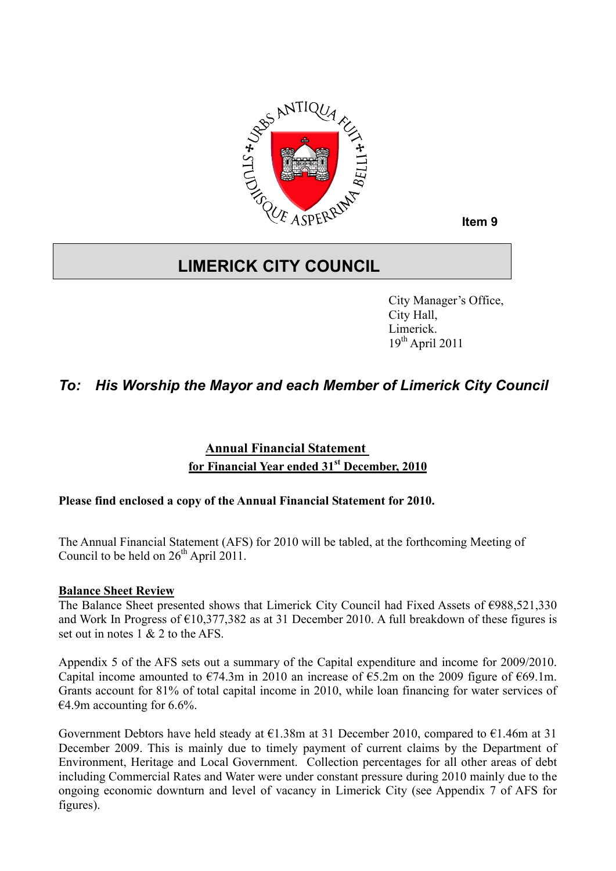

**Item 9**

# **LIMERICK CITY COUNCIL**

City Manager's Office, City Hall, Limerick.  $19^{th}$  April 2011

# *To: His Worship the Mayor and each Member of Limerick City Council*

## **Annual Financial Statement for Financial Year ended 31st December, 2010**

### **Please find enclosed a copy of the Annual Financial Statement for 2010.**

The Annual Financial Statement (AFS) for 2010 will be tabled, at the forthcoming Meeting of Council to be held on  $26<sup>th</sup>$  April 2011.

#### **Balance Sheet Review**

The Balance Sheet presented shows that Limerick City Council had Fixed Assets of €988,521,330 and Work In Progress of  $\epsilon$ 10,377,382 as at 31 December 2010. A full breakdown of these figures is set out in notes 1 & 2 to the AFS.

Appendix 5 of the AFS sets out a summary of the Capital expenditure and income for 2009/2010. Capital income amounted to  $\epsilon$ 74.3m in 2010 an increase of  $\epsilon$ 5.2m on the 2009 figure of  $\epsilon$ 69.1m. Grants account for 81% of total capital income in 2010, while loan financing for water services of  $\epsilon$ 4.9m accounting for 6.6%.

Government Debtors have held steady at  $\epsilon$ 1.38m at 31 December 2010, compared to  $\epsilon$ 1.46m at 31 December 2009. This is mainly due to timely payment of current claims by the Department of Environment, Heritage and Local Government. Collection percentages for all other areas of debt including Commercial Rates and Water were under constant pressure during 2010 mainly due to the ongoing economic downturn and level of vacancy in Limerick City (see Appendix 7 of AFS for figures).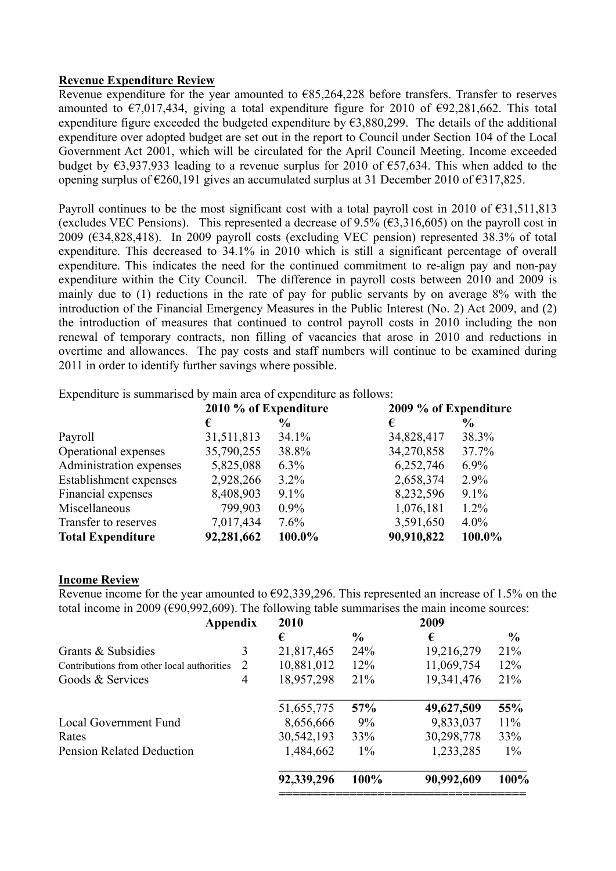#### **Revenue Expenditure Review**

Revenue expenditure for the year amounted to €85,264,228 before transfers. Transfer to reserves amounted to  $\epsilon$ 7,017,434, giving a total expenditure figure for 2010 of  $\epsilon$ 92,281,662. This total expenditure figure exceeded the budgeted expenditure by  $\epsilon$ 3,880,299. The details of the additional expenditure over adopted budget are set out in the report to Council under Section 104 of the Local Government Act 2001, which will be circulated for the April Council Meeting. Income exceeded budget by  $\epsilon$ 3,937,933 leading to a revenue surplus for 2010 of  $\epsilon$ 57,634. This when added to the opening surplus of  $\epsilon$ 260,191 gives an accumulated surplus at 31 December 2010 of  $\epsilon$ 317,825.

Payroll continues to be the most significant cost with a total payroll cost in 2010 of  $\epsilon$ 31,511,813 (excludes VEC Pensions). This represented a decrease of 9.5% ( $\epsilon$ 3.316,605) on the payroll cost in 2009 (€34,828,418). In 2009 payroll costs (excluding VEC pension) represented 38.3% of total expenditure. This decreased to 34.1% in 2010 which is still a significant percentage of overall expenditure. This indicates the need for the continued commitment to re-align pay and non-pay expenditure within the City Council. The difference in payroll costs between 2010 and 2009 is mainly due to (1) reductions in the rate of pay for public servants by on average 8% with the introduction of the Financial Emergency Measures in the Public Interest (No. 2) Act 2009, and (2) the introduction of measures that continued to control payroll costs in 2010 including the non renewal of temporary contracts, non filling of vacancies that arose in 2010 and reductions in overtime and allowances. The pay costs and staff numbers will continue to be examined during 2011 in order to identify further savings where possible.

Expenditure is summarised by main area of expenditure as follows:

|                          | 2010 % of Expenditure |         | 2009 % of Expenditure |         |  |
|--------------------------|-----------------------|---------|-----------------------|---------|--|
|                          | €                     | $\%$    | €                     | $\%$    |  |
| Payroll                  | 31,511,813            | 34.1%   | 34,828,417            | 38.3%   |  |
| Operational expenses     | 35,790,255            | 38.8%   | 34,270,858            | 37.7%   |  |
| Administration expenses  | 5,825,088             | $6.3\%$ | 6,252,746             | $6.9\%$ |  |
| Establishment expenses   | 2,928,266             | $3.2\%$ | 2,658,374             | 2.9%    |  |
| Financial expenses       | 8,408,903             | $9.1\%$ | 8,232,596             | $9.1\%$ |  |
| Miscellaneous            | 799,903               | $0.9\%$ | 1,076,181             | $1.2\%$ |  |
| Transfer to reserves     | 7,017,434             | 7.6%    | 3,591,650             | $4.0\%$ |  |
| <b>Total Expenditure</b> | 92,281,662            | 100.0%  | 90,910,822            | 100.0%  |  |

#### **Income Review**

Revenue income for the year amounted to  $\epsilon$ 92,339,296. This represented an increase of 1.5% on the total income in 2009 ( $\epsilon$ 90,992,609). The following table summarises the main income sources:

| Appendix                                        |           | 2010       |               | 2009       |               |
|-------------------------------------------------|-----------|------------|---------------|------------|---------------|
|                                                 |           | €          | $\frac{6}{9}$ | €          | $\frac{0}{0}$ |
| Grants & Subsidies                              | 3         | 21,817,465 | 24%           | 19,216,279 | 21%           |
| 2<br>Contributions from other local authorities |           | 10,881,012 | 12%           | 11,069,754 | 12%           |
| Goods & Services                                | 4         | 18,957,298 | 21%           | 19,341,476 | 21%           |
|                                                 |           | 51,655,775 | 57%           | 49,627,509 | 55%           |
| <b>Local Government Fund</b>                    | 8,656,666 | 9%         | 9,833,037     | 11%        |               |
| Rates                                           |           | 30,542,193 | 33%           | 30,298,778 | 33%           |
| <b>Pension Related Deduction</b>                |           | 1,484,662  | $1\%$         | 1,233,285  | $1\%$         |
|                                                 |           | 92,339,296 | 100%          | 90,992,609 | 100%          |
|                                                 |           |            |               |            |               |